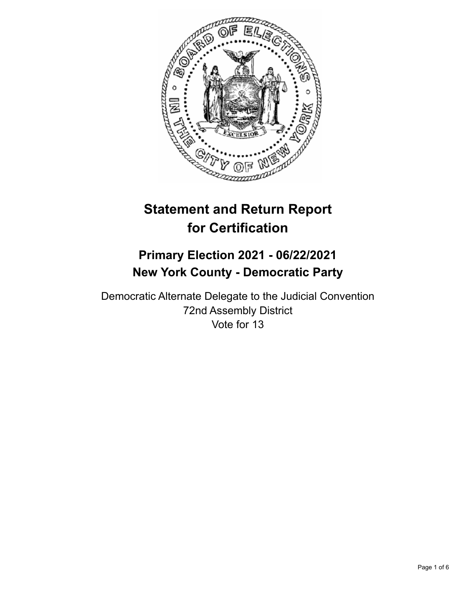

# **Statement and Return Report for Certification**

## **Primary Election 2021 - 06/22/2021 New York County - Democratic Party**

Democratic Alternate Delegate to the Judicial Convention 72nd Assembly District Vote for 13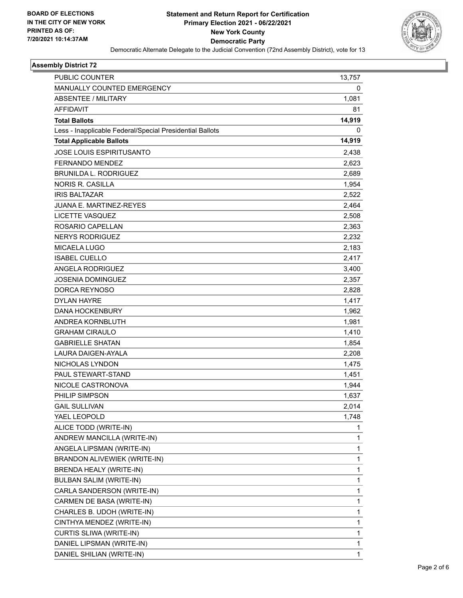

#### **Assembly District 72**

| <b>PUBLIC COUNTER</b>                                    | 13,757       |
|----------------------------------------------------------|--------------|
| MANUALLY COUNTED EMERGENCY                               | 0            |
| <b>ABSENTEE / MILITARY</b>                               | 1,081        |
| <b>AFFIDAVIT</b>                                         | 81           |
| <b>Total Ballots</b>                                     | 14,919       |
| Less - Inapplicable Federal/Special Presidential Ballots | 0            |
| <b>Total Applicable Ballots</b>                          | 14,919       |
| <b>JOSE LOUIS ESPIRITUSANTO</b>                          | 2,438        |
| FERNANDO MENDEZ                                          | 2,623        |
| <b>BRUNILDA L. RODRIGUEZ</b>                             | 2,689        |
| <b>NORIS R. CASILLA</b>                                  | 1,954        |
| <b>IRIS BALTAZAR</b>                                     | 2,522        |
| <b>JUANA E. MARTINEZ-REYES</b>                           | 2,464        |
| LICETTE VASQUEZ                                          | 2,508        |
| ROSARIO CAPELLAN                                         | 2,363        |
| <b>NERYS RODRIGUEZ</b>                                   | 2,232        |
| <b>MICAELA LUGO</b>                                      | 2,183        |
| <b>ISABEL CUELLO</b>                                     | 2,417        |
| ANGELA RODRIGUEZ                                         | 3,400        |
| <b>JOSENIA DOMINGUEZ</b>                                 | 2,357        |
| DORCA REYNOSO                                            | 2,828        |
| <b>DYLAN HAYRE</b>                                       | 1,417        |
| <b>DANA HOCKENBURY</b>                                   | 1,962        |
| ANDREA KORNBLUTH                                         | 1,981        |
| <b>GRAHAM CIRAULO</b>                                    | 1,410        |
| <b>GABRIELLE SHATAN</b>                                  | 1,854        |
| LAURA DAIGEN-AYALA                                       | 2,208        |
| NICHOLAS LYNDON                                          | 1,475        |
| PAUL STEWART-STAND                                       | 1,451        |
| NICOLE CASTRONOVA                                        | 1,944        |
| PHILIP SIMPSON                                           | 1,637        |
| <b>GAIL SULLIVAN</b>                                     | 2,014        |
| YAEL LEOPOLD                                             | 1,748        |
| ALICE TODD (WRITE-IN)                                    | 1            |
| ANDREW MANCILLA (WRITE-IN)                               | 1            |
| ANGELA LIPSMAN (WRITE-IN)                                | $\mathbf{1}$ |
| BRANDON ALIVEWIEK (WRITE-IN)                             | 1            |
| BRENDA HEALY (WRITE-IN)                                  | 1            |
| <b>BULBAN SALIM (WRITE-IN)</b>                           | $\mathbf{1}$ |
| CARLA SANDERSON (WRITE-IN)                               | 1            |
| CARMEN DE BASA (WRITE-IN)                                | 1            |
| CHARLES B. UDOH (WRITE-IN)                               | $\mathbf{1}$ |
| CINTHYA MENDEZ (WRITE-IN)                                | 1            |
| CURTIS SLIWA (WRITE-IN)                                  | 1            |
| DANIEL LIPSMAN (WRITE-IN)                                | $\mathbf{1}$ |
| DANIEL SHILIAN (WRITE-IN)                                | 1            |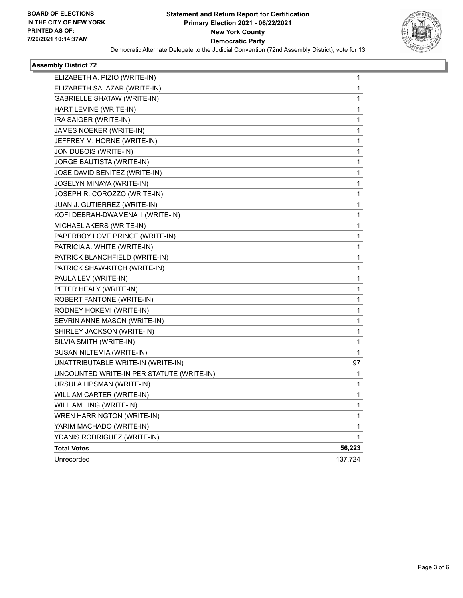

#### **Assembly District 72**

| ELIZABETH A. PIZIO (WRITE-IN)             | 1       |
|-------------------------------------------|---------|
| ELIZABETH SALAZAR (WRITE-IN)              | 1       |
| GABRIELLE SHATAW (WRITE-IN)               | 1       |
| HART LEVINE (WRITE-IN)                    | 1       |
| IRA SAIGER (WRITE-IN)                     | 1       |
| JAMES NOEKER (WRITE-IN)                   | 1       |
| JEFFREY M. HORNE (WRITE-IN)               | 1       |
| JON DUBOIS (WRITE-IN)                     | 1       |
| JORGE BAUTISTA (WRITE-IN)                 | 1       |
| JOSE DAVID BENITEZ (WRITE-IN)             | 1       |
| JOSELYN MINAYA (WRITE-IN)                 | 1       |
| JOSEPH R. COROZZO (WRITE-IN)              | 1       |
| JUAN J. GUTIERREZ (WRITE-IN)              | 1       |
| KOFI DEBRAH-DWAMENA II (WRITE-IN)         | 1       |
| MICHAEL AKERS (WRITE-IN)                  | 1       |
| PAPERBOY LOVE PRINCE (WRITE-IN)           | 1       |
| PATRICIA A. WHITE (WRITE-IN)              | 1       |
| PATRICK BLANCHFIELD (WRITE-IN)            | 1       |
| PATRICK SHAW-KITCH (WRITE-IN)             | 1       |
| PAULA LEV (WRITE-IN)                      | 1       |
| PETER HEALY (WRITE-IN)                    | 1       |
| ROBERT FANTONE (WRITE-IN)                 | 1       |
| RODNEY HOKEMI (WRITE-IN)                  | 1       |
| SEVRIN ANNE MASON (WRITE-IN)              | 1       |
| SHIRLEY JACKSON (WRITE-IN)                | 1       |
| SILVIA SMITH (WRITE-IN)                   | 1       |
| SUSAN NILTEMIA (WRITE-IN)                 | 1       |
| UNATTRIBUTABLE WRITE-IN (WRITE-IN)        | 97      |
| UNCOUNTED WRITE-IN PER STATUTE (WRITE-IN) | 1       |
| URSULA LIPSMAN (WRITE-IN)                 | 1       |
| WILLIAM CARTER (WRITE-IN)                 | 1       |
| WILLIAM LING (WRITE-IN)                   | 1       |
| WREN HARRINGTON (WRITE-IN)                | 1       |
| YARIM MACHADO (WRITE-IN)                  | 1       |
| YDANIS RODRIGUEZ (WRITE-IN)               | 1       |
| <b>Total Votes</b>                        | 56,223  |
| Unrecorded                                | 137,724 |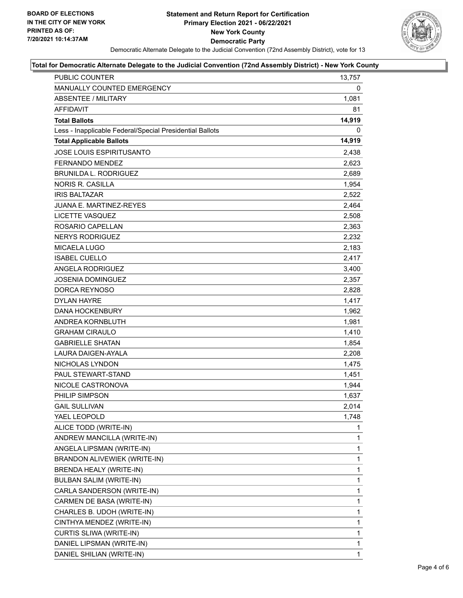

#### **Total for Democratic Alternate Delegate to the Judicial Convention (72nd Assembly District) - New York County**

| PUBLIC COUNTER                                           | 13,757 |
|----------------------------------------------------------|--------|
| MANUALLY COUNTED EMERGENCY                               | 0      |
| <b>ABSENTEE / MILITARY</b>                               | 1,081  |
| <b>AFFIDAVIT</b>                                         | 81     |
| <b>Total Ballots</b>                                     | 14,919 |
| Less - Inapplicable Federal/Special Presidential Ballots | 0      |
| <b>Total Applicable Ballots</b>                          | 14,919 |
| <b>JOSE LOUIS ESPIRITUSANTO</b>                          | 2,438  |
| FERNANDO MENDEZ                                          | 2,623  |
| <b>BRUNILDA L. RODRIGUEZ</b>                             | 2,689  |
| <b>NORIS R. CASILLA</b>                                  | 1,954  |
| <b>IRIS BALTAZAR</b>                                     | 2,522  |
| <b>JUANA E. MARTINEZ-REYES</b>                           | 2,464  |
| LICETTE VASQUEZ                                          | 2,508  |
| ROSARIO CAPELLAN                                         | 2,363  |
| <b>NERYS RODRIGUEZ</b>                                   | 2,232  |
| MICAELA LUGO                                             | 2,183  |
| <b>ISABEL CUELLO</b>                                     | 2,417  |
| ANGELA RODRIGUEZ                                         | 3,400  |
| JOSENIA DOMINGUEZ                                        | 2,357  |
| DORCA REYNOSO                                            | 2,828  |
| <b>DYLAN HAYRE</b>                                       | 1,417  |
| <b>DANA HOCKENBURY</b>                                   | 1,962  |
| ANDREA KORNBLUTH                                         | 1,981  |
| <b>GRAHAM CIRAULO</b>                                    | 1,410  |
| <b>GABRIELLE SHATAN</b>                                  | 1,854  |
| LAURA DAIGEN-AYALA                                       | 2,208  |
| NICHOLAS LYNDON                                          | 1,475  |
| PAUL STEWART-STAND                                       | 1,451  |
| NICOLE CASTRONOVA                                        | 1,944  |
| PHILIP SIMPSON                                           | 1,637  |
| <b>GAIL SULLIVAN</b>                                     | 2,014  |
| YAEL LEOPOLD                                             | 1,748  |
| ALICE TODD (WRITE-IN)                                    | 1      |
| ANDREW MANCILLA (WRITE-IN)                               | 1      |
| ANGELA LIPSMAN (WRITE-IN)                                | 1      |
| BRANDON ALIVEWIEK (WRITE-IN)                             | 1      |
| BRENDA HEALY (WRITE-IN)                                  | 1      |
| <b>BULBAN SALIM (WRITE-IN)</b>                           | 1      |
| CARLA SANDERSON (WRITE-IN)                               | 1      |
| CARMEN DE BASA (WRITE-IN)                                | 1      |
| CHARLES B. UDOH (WRITE-IN)                               | 1      |
| CINTHYA MENDEZ (WRITE-IN)                                | 1      |
| CURTIS SLIWA (WRITE-IN)                                  | 1      |
| DANIEL LIPSMAN (WRITE-IN)                                | 1      |
| DANIEL SHILIAN (WRITE-IN)                                | 1      |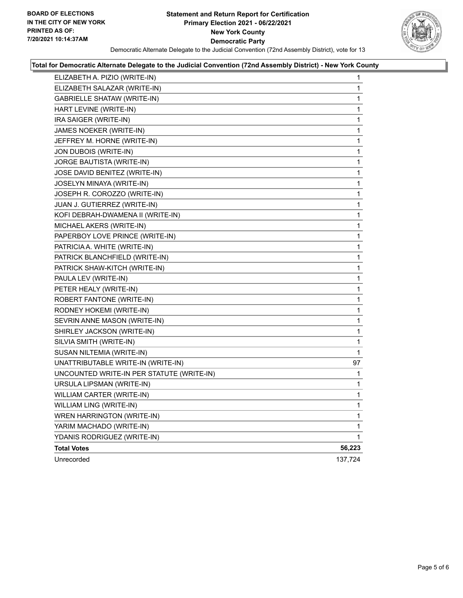

#### **Total for Democratic Alternate Delegate to the Judicial Convention (72nd Assembly District) - New York County**

| ELIZABETH A. PIZIO (WRITE-IN)             | 1           |
|-------------------------------------------|-------------|
| ELIZABETH SALAZAR (WRITE-IN)              | 1           |
| GABRIELLE SHATAW (WRITE-IN)               | 1           |
| HART LEVINE (WRITE-IN)                    | 1           |
| IRA SAIGER (WRITE-IN)                     | 1           |
| JAMES NOEKER (WRITE-IN)                   | 1           |
| JEFFREY M. HORNE (WRITE-IN)               | 1           |
| JON DUBOIS (WRITE-IN)                     | 1           |
| JORGE BAUTISTA (WRITE-IN)                 | 1           |
| JOSE DAVID BENITEZ (WRITE-IN)             | 1           |
| JOSELYN MINAYA (WRITE-IN)                 | 1           |
| JOSEPH R. COROZZO (WRITE-IN)              | 1           |
| JUAN J. GUTIERREZ (WRITE-IN)              | 1           |
| KOFI DEBRAH-DWAMENA II (WRITE-IN)         | 1           |
| MICHAEL AKERS (WRITE-IN)                  | 1           |
| PAPERBOY LOVE PRINCE (WRITE-IN)           | 1           |
| PATRICIA A. WHITE (WRITE-IN)              | 1           |
| PATRICK BLANCHFIELD (WRITE-IN)            | 1           |
| PATRICK SHAW-KITCH (WRITE-IN)             | 1           |
| PAULA LEV (WRITE-IN)                      | 1           |
| PETER HEALY (WRITE-IN)                    | 1           |
| ROBERT FANTONE (WRITE-IN)                 | 1           |
| RODNEY HOKEMI (WRITE-IN)                  | 1           |
| SEVRIN ANNE MASON (WRITE-IN)              | 1           |
| SHIRLEY JACKSON (WRITE-IN)                | 1           |
| SILVIA SMITH (WRITE-IN)                   | 1           |
| SUSAN NILTEMIA (WRITE-IN)                 | 1           |
| UNATTRIBUTABLE WRITE-IN (WRITE-IN)        | 97          |
| UNCOUNTED WRITE-IN PER STATUTE (WRITE-IN) | 1           |
| URSULA LIPSMAN (WRITE-IN)                 | 1           |
| WILLIAM CARTER (WRITE-IN)                 | 1           |
| WILLIAM LING (WRITE-IN)                   | 1           |
| WREN HARRINGTON (WRITE-IN)                | 1           |
| YARIM MACHADO (WRITE-IN)                  | 1           |
| YDANIS RODRIGUEZ (WRITE-IN)               | $\mathbf 1$ |
| <b>Total Votes</b>                        | 56,223      |
| Unrecorded                                | 137,724     |